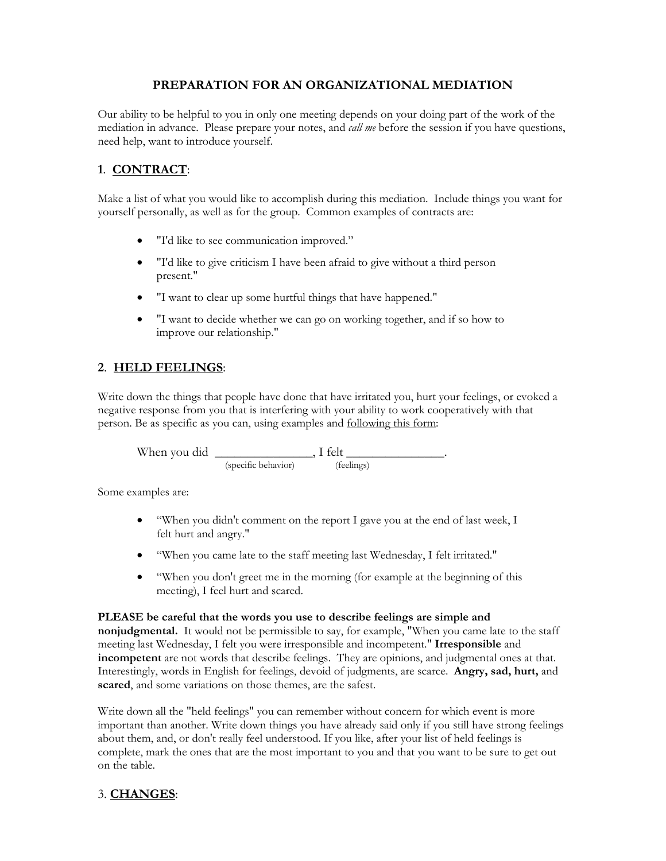## **PREPARATION FOR AN ORGANIZATIONAL MEDIATION**

Our ability to be helpful to you in only one meeting depends on your doing part of the work of the mediation in advance. Please prepare your notes, and *call me* before the session if you have questions, need help, want to introduce yourself.

# **1**. **CONTRACT**:

Make a list of what you would like to accomplish during this mediation. Include things you want for yourself personally, as well as for the group. Common examples of contracts are:

- "I'd like to see communication improved."
- "I'd like to give criticism I have been afraid to give without a third person present."
- "I want to clear up some hurtful things that have happened."
- "I want to decide whether we can go on working together, and if so how to improve our relationship."

# **2**. **HELD FEELINGS**:

Write down the things that people have done that have irritated you, hurt your feelings, or evoked a negative response from you that is interfering with your ability to work cooperatively with that person. Be as specific as you can, using examples and following this form:

When you did \_\_\_\_\_\_\_\_\_\_\_\_\_\_\_, I felt \_\_\_\_\_\_\_\_\_\_\_\_\_\_\_. (specific behavior) (feelings)

Some examples are:

- "When you didn't comment on the report I gave you at the end of last week, I felt hurt and angry."
- "When you came late to the staff meeting last Wednesday, I felt irritated."
- "When you don't greet me in the morning (for example at the beginning of this meeting), I feel hurt and scared.

#### **PLEASE be careful that the words you use to describe feelings are simple and**

**nonjudgmental.** It would not be permissible to say, for example, "When you came late to the staff meeting last Wednesday, I felt you were irresponsible and incompetent." **Irresponsible** and **incompetent** are not words that describe feelings. They are opinions, and judgmental ones at that. Interestingly, words in English for feelings, devoid of judgments, are scarce. **Angry, sad, hurt,** and **scared**, and some variations on those themes, are the safest.

Write down all the "held feelings" you can remember without concern for which event is more important than another. Write down things you have already said only if you still have strong feelings about them, and, or don't really feel understood. If you like, after your list of held feelings is complete, mark the ones that are the most important to you and that you want to be sure to get out on the table.

## 3. **CHANGES**: